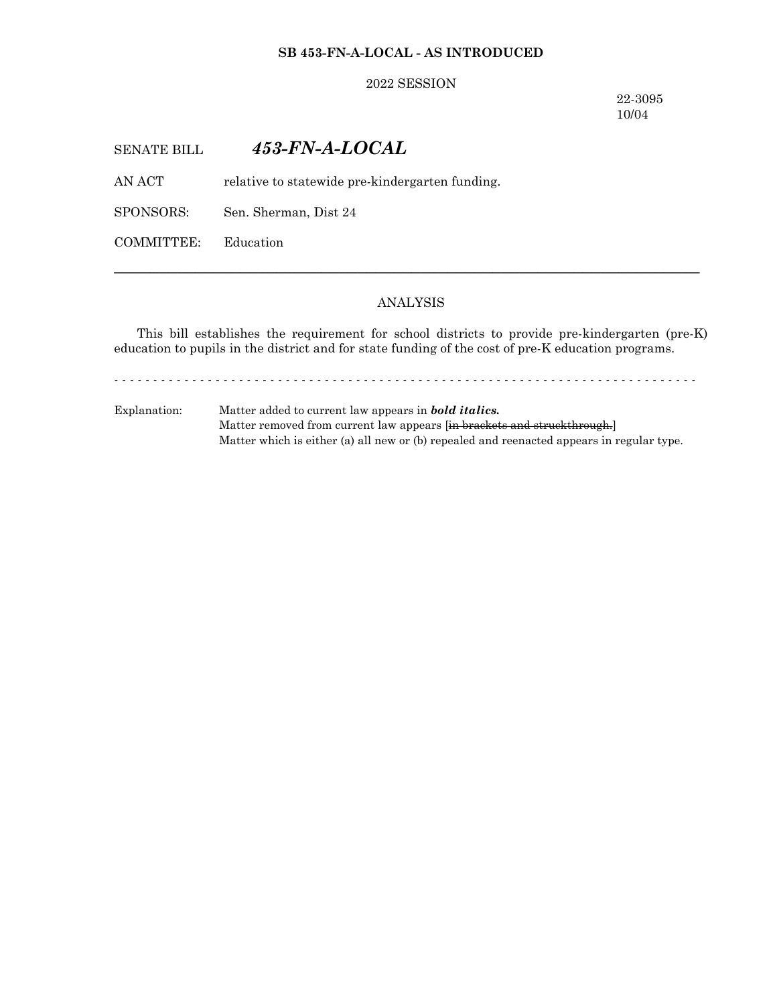#### **SB 453-FN-A-LOCAL - AS INTRODUCED**

#### 2022 SESSION

22-3095 10/04

# SENATE BILL *453-FN-A-LOCAL*

AN ACT relative to statewide pre-kindergarten funding.

SPONSORS: Sen. Sherman, Dist 24

COMMITTEE: Education

## ANALYSIS

─────────────────────────────────────────────────────────────────

This bill establishes the requirement for school districts to provide pre-kindergarten (pre-K) education to pupils in the district and for state funding of the cost of pre-K education programs.

- - - - - - - - - - - - - - - - - - - - - - - - - - - - - - - - - - - - - - - - - - - - - - - - - - - - - - - - - - - - - - - - - - - - - - - - - - -

Explanation: Matter added to current law appears in *bold italics.* Matter removed from current law appears [in brackets and struckthrough.] Matter which is either (a) all new or (b) repealed and reenacted appears in regular type.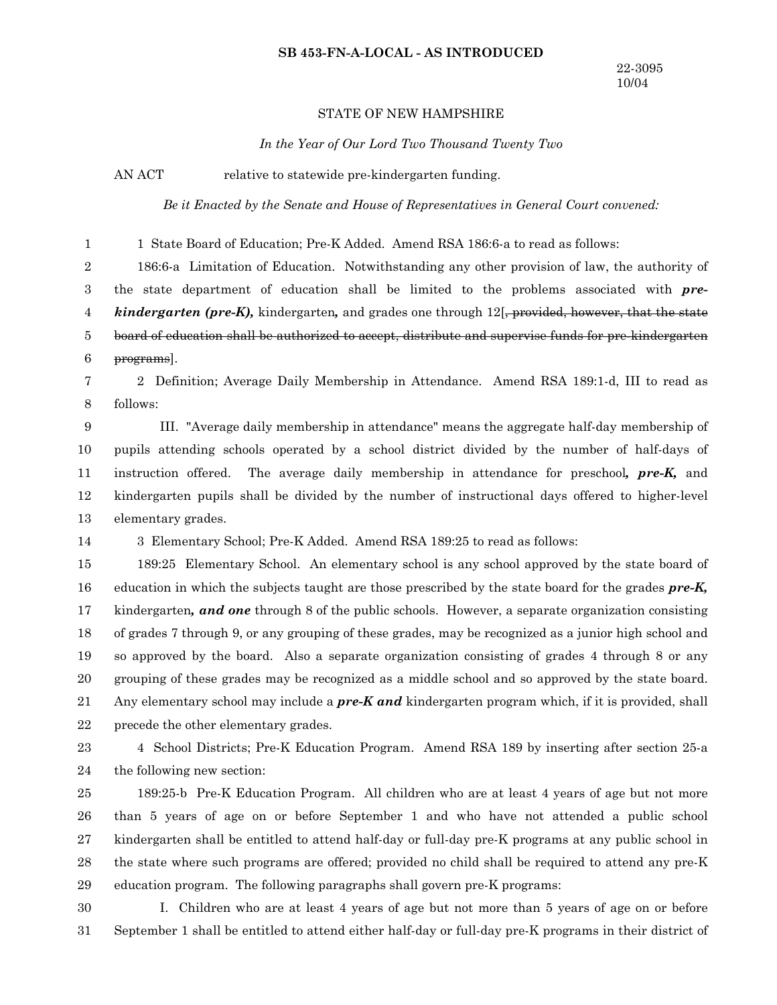#### **SB 453-FN-A-LOCAL - AS INTRODUCED**

#### STATE OF NEW HAMPSHIRE

*In the Year of Our Lord Two Thousand Twenty Two*

AN ACT relative to statewide pre-kindergarten funding.

*Be it Enacted by the Senate and House of Representatives in General Court convened:*

1 State Board of Education; Pre-K Added. Amend RSA 186:6-a to read as follows: 186:6-a Limitation of Education. Notwithstanding any other provision of law, the authority of the state department of education shall be limited to the problems associated with *prekindergarten (pre-K)*, kindergarten, and grades one through 12<sup>[</sup>, provided, however, that the state board of education shall be authorized to accept, distribute and supervise funds for pre-kindergarten programs]. 2 Definition; Average Daily Membership in Attendance. Amend RSA 189:1-d, III to read as follows: III. "Average daily membership in attendance" means the aggregate half-day membership of pupils attending schools operated by a school district divided by the number of half-days of instruction offered. The average daily membership in attendance for preschool*, pre-K,* and kindergarten pupils shall be divided by the number of instructional days offered to higher-level elementary grades. 3 Elementary School; Pre-K Added. Amend RSA 189:25 to read as follows: 189:25 Elementary School. An elementary school is any school approved by the state board of education in which the subjects taught are those prescribed by the state board for the grades *pre-K,* kindergarten*, and one* through 8 of the public schools. However, a separate organization consisting of grades 7 through 9, or any grouping of these grades, may be recognized as a junior high school and so approved by the board. Also a separate organization consisting of grades 4 through 8 or any grouping of these grades may be recognized as a middle school and so approved by the state board. Any elementary school may include a *pre-K and* kindergarten program which, if it is provided, shall precede the other elementary grades. 4 School Districts; Pre-K Education Program. Amend RSA 189 by inserting after section 25-a the following new section: 189:25-b Pre-K Education Program. All children who are at least 4 years of age but not more than 5 years of age on or before September 1 and who have not attended a public school kindergarten shall be entitled to attend half-day or full-day pre-K programs at any public school in the state where such programs are offered; provided no child shall be required to attend any pre-K education program. The following paragraphs shall govern pre-K programs: I. Children who are at least 4 years of age but not more than 5 years of age on or before 1 2 3 4 5 6 7 8 9 10 11 12 13 14 15 16 17 18 19 20 21 22 23 24 25 26 27 28 29 30

September 1 shall be entitled to attend either half-day or full-day pre-K programs in their district of 31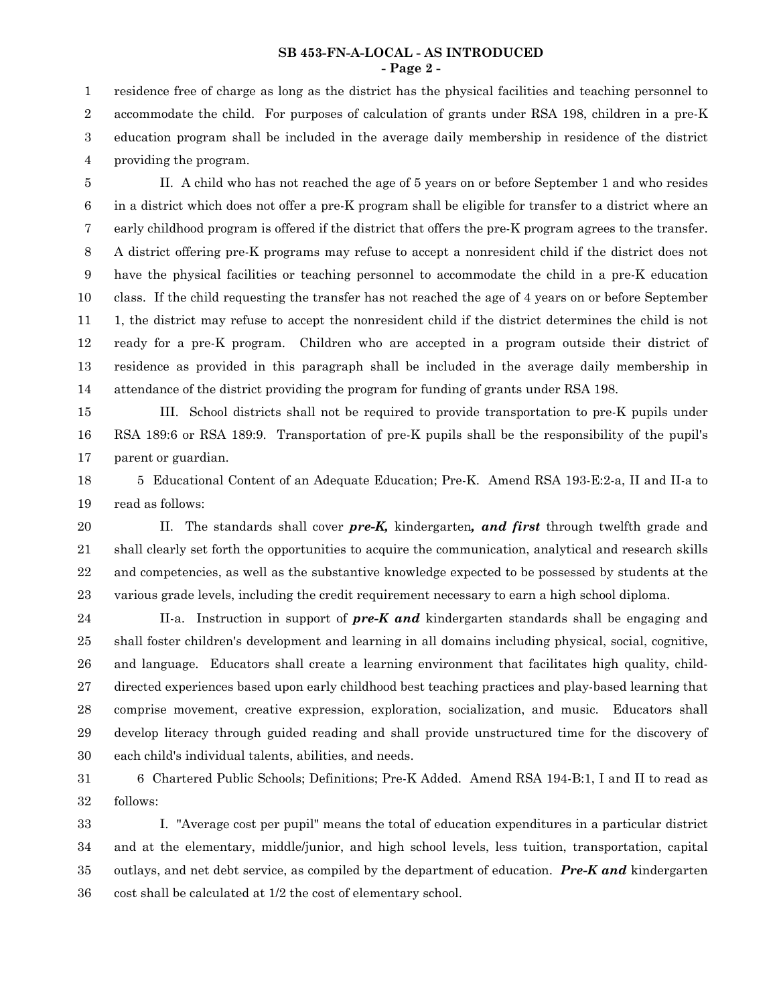#### **SB 453-FN-A-LOCAL - AS INTRODUCED - Page 2 -**

residence free of charge as long as the district has the physical facilities and teaching personnel to accommodate the child. For purposes of calculation of grants under RSA 198, children in a pre-K education program shall be included in the average daily membership in residence of the district providing the program. 1 2 3 4

II. A child who has not reached the age of 5 years on or before September 1 and who resides in a district which does not offer a pre-K program shall be eligible for transfer to a district where an early childhood program is offered if the district that offers the pre-K program agrees to the transfer. A district offering pre-K programs may refuse to accept a nonresident child if the district does not have the physical facilities or teaching personnel to accommodate the child in a pre-K education class. If the child requesting the transfer has not reached the age of 4 years on or before September 1, the district may refuse to accept the nonresident child if the district determines the child is not ready for a pre-K program. Children who are accepted in a program outside their district of residence as provided in this paragraph shall be included in the average daily membership in attendance of the district providing the program for funding of grants under RSA 198. 5 6 7 8 9 10 11 12 13 14

III. School districts shall not be required to provide transportation to pre-K pupils under RSA 189:6 or RSA 189:9. Transportation of pre-K pupils shall be the responsibility of the pupil's parent or guardian. 15 16 17

5 Educational Content of an Adequate Education; Pre-K. Amend RSA 193-E:2-a, II and II-a to read as follows: 18 19

II. The standards shall cover *pre-K,* kindergarten*, and first* through twelfth grade and shall clearly set forth the opportunities to acquire the communication, analytical and research skills and competencies, as well as the substantive knowledge expected to be possessed by students at the various grade levels, including the credit requirement necessary to earn a high school diploma. 20 21 22 23

II-a. Instruction in support of *pre-K and* kindergarten standards shall be engaging and shall foster children's development and learning in all domains including physical, social, cognitive, and language. Educators shall create a learning environment that facilitates high quality, childdirected experiences based upon early childhood best teaching practices and play-based learning that comprise movement, creative expression, exploration, socialization, and music. Educators shall develop literacy through guided reading and shall provide unstructured time for the discovery of each child's individual talents, abilities, and needs. 24 25 26 27 28 29 30

6 Chartered Public Schools; Definitions; Pre-K Added. Amend RSA 194-B:1, I and II to read as follows: 31 32

I. "Average cost per pupil" means the total of education expenditures in a particular district and at the elementary, middle/junior, and high school levels, less tuition, transportation, capital outlays, and net debt service, as compiled by the department of education. *Pre-K and* kindergarten cost shall be calculated at 1/2 the cost of elementary school. 33 34 35 36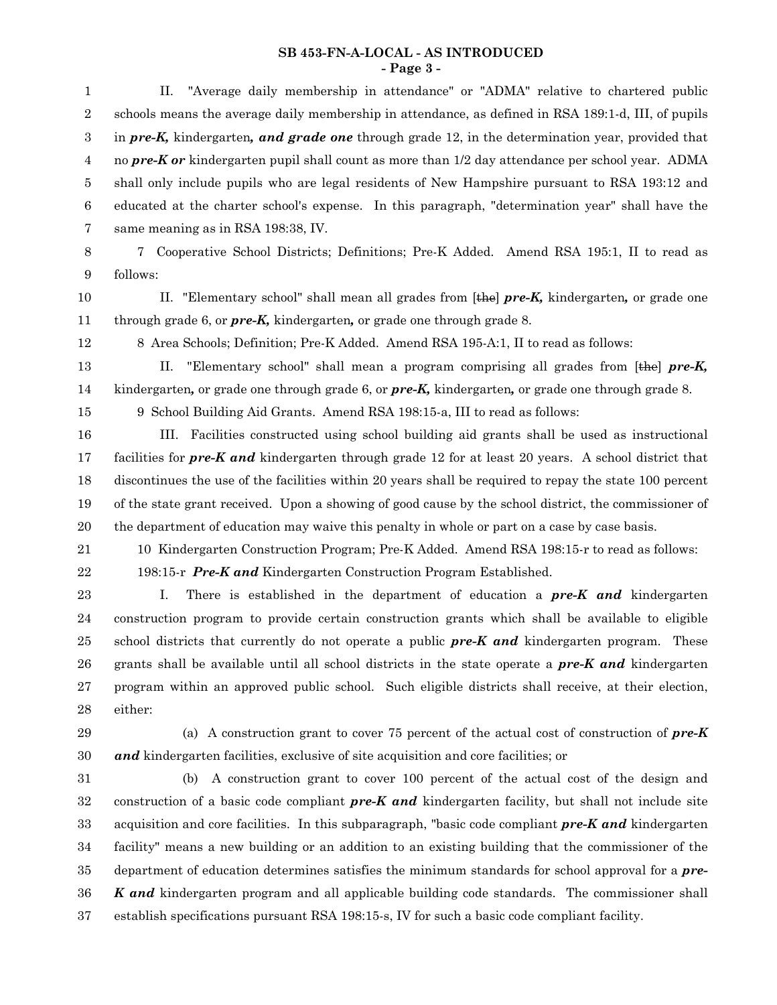### **SB 453-FN-A-LOCAL - AS INTRODUCED - Page 3 -**

| "Average daily membership in attendance" or "ADMA" relative to chartered public<br>П.                                                                                                                |
|------------------------------------------------------------------------------------------------------------------------------------------------------------------------------------------------------|
| schools means the average daily membership in attendance, as defined in RSA 189:1-d, III, of pupils                                                                                                  |
|                                                                                                                                                                                                      |
| in pre-K, kindergarten, and grade one through grade 12, in the determination year, provided that<br>no pre-K or kindergarten pupil shall count as more than 1/2 day attendance per school year. ADMA |
|                                                                                                                                                                                                      |
| shall only include pupils who are legal residents of New Hampshire pursuant to RSA 193:12 and                                                                                                        |
| educated at the charter school's expense. In this paragraph, "determination year" shall have the                                                                                                     |
| same meaning as in RSA 198:38, IV.                                                                                                                                                                   |
| 7<br>Cooperative School Districts; Definitions; Pre-K Added. Amend RSA 195:1, II to read as                                                                                                          |
| follows:                                                                                                                                                                                             |
| II. "Elementary school" shall mean all grades from $[the]$ <i>pre-K</i> , kindergarten, or grade one                                                                                                 |
| through grade 6, or $pre-K$ , kindergarten, or grade one through grade 8.                                                                                                                            |
| 8 Area Schools; Definition; Pre-K Added. Amend RSA 195-A:1, II to read as follows:                                                                                                                   |
| "Elementary school" shall mean a program comprising all grades from $[the]$ pre-K,<br>П.                                                                                                             |
| kindergarten, or grade one through grade 6, or $pre-K$ , kindergarten, or grade one through grade 8.                                                                                                 |
| 9 School Building Aid Grants. Amend RSA 198:15-a, III to read as follows:                                                                                                                            |
| III. Facilities constructed using school building aid grants shall be used as instructional                                                                                                          |
| facilities for <b>pre-K</b> and kindergarten through grade 12 for at least 20 years. A school district that                                                                                          |
| discontinues the use of the facilities within 20 years shall be required to repay the state 100 percent                                                                                              |
| of the state grant received. Upon a showing of good cause by the school district, the commissioner of                                                                                                |
| the department of education may waive this penalty in whole or part on a case by case basis.                                                                                                         |
| 10 Kindergarten Construction Program; Pre-K Added. Amend RSA 198:15-r to read as follows:                                                                                                            |
| 198:15-r Pre-K and Kindergarten Construction Program Established.                                                                                                                                    |
| There is established in the department of education a $pre-K$ and kindergarten<br>Ι.                                                                                                                 |
| construction program to provide certain construction grants which shall be available to eligible                                                                                                     |
| school districts that currently do not operate a public $pre-K$ and kindergarten program.<br>These                                                                                                   |
| grants shall be available until all school districts in the state operate a <b>pre-K and</b> kindergarten                                                                                            |
| program within an approved public school. Such eligible districts shall receive, at their election,                                                                                                  |
| either:                                                                                                                                                                                              |
| (a) A construction grant to cover 75 percent of the actual cost of construction of $pre-K$                                                                                                           |
| and kindergarten facilities, exclusive of site acquisition and core facilities; or                                                                                                                   |
| A construction grant to cover 100 percent of the actual cost of the design and<br>(b)                                                                                                                |
| construction of a basic code compliant $pre-K$ and kindergarten facility, but shall not include site                                                                                                 |
| acquisition and core facilities. In this subparagraph, "basic code compliant pre-K and kindergarten                                                                                                  |
| facility" means a new building or an addition to an existing building that the commissioner of the                                                                                                   |

department of education determines satisfies the minimum standards for school approval for a *pre-K and* kindergarten program and all applicable building code standards. The commissioner shall establish specifications pursuant RSA 198:15-s, IV for such a basic code compliant facility. 35 36 37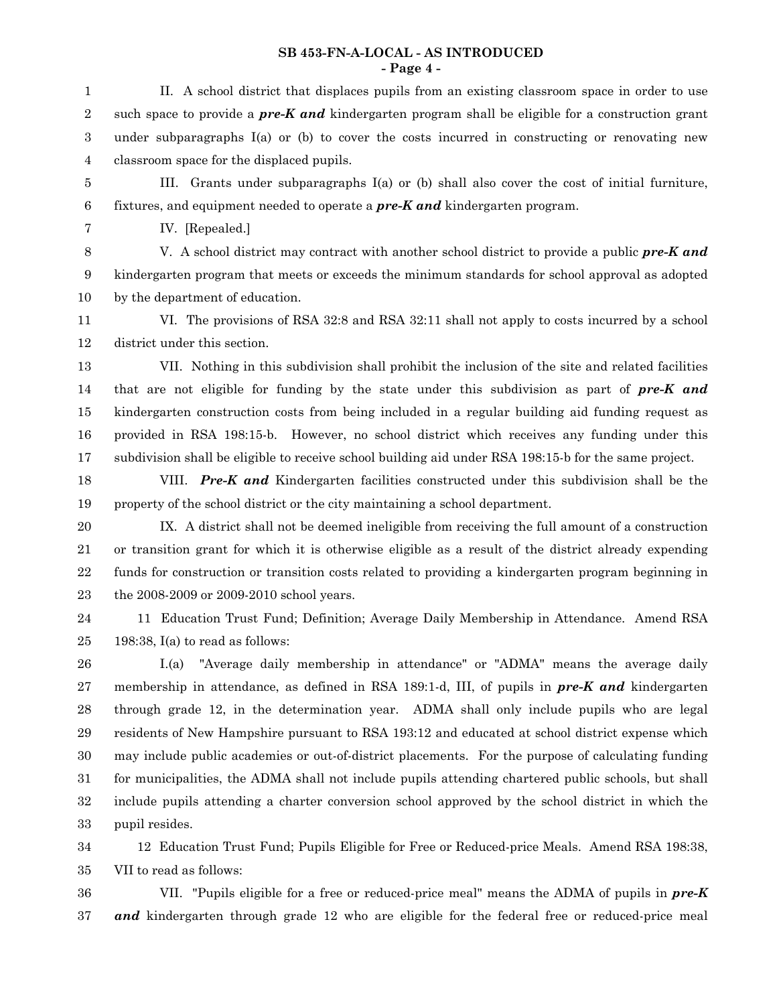#### **SB 453-FN-A-LOCAL - AS INTRODUCED - Page 4 -**

II. A school district that displaces pupils from an existing classroom space in order to use such space to provide a *pre-K and* kindergarten program shall be eligible for a construction grant under subparagraphs  $I(a)$  or (b) to cover the costs incurred in constructing or renovating new classroom space for the displaced pupils. 1 2 3 4

III. Grants under subparagraphs  $I(a)$  or (b) shall also cover the cost of initial furniture, fixtures, and equipment needed to operate a *pre-K and* kindergarten program. 5 6

7

IV. [Repealed.]

V. A school district may contract with another school district to provide a public *pre-K and* kindergarten program that meets or exceeds the minimum standards for school approval as adopted by the department of education. 8 9 10

VI. The provisions of RSA 32:8 and RSA 32:11 shall not apply to costs incurred by a school district under this section. 11 12

VII. Nothing in this subdivision shall prohibit the inclusion of the site and related facilities that are not eligible for funding by the state under this subdivision as part of *pre-K and* kindergarten construction costs from being included in a regular building aid funding request as provided in RSA 198:15-b. However, no school district which receives any funding under this subdivision shall be eligible to receive school building aid under RSA 198:15-b for the same project. 13 14 15 16 17

VIII. *Pre-K and* Kindergarten facilities constructed under this subdivision shall be the property of the school district or the city maintaining a school department. 18 19

IX. A district shall not be deemed ineligible from receiving the full amount of a construction or transition grant for which it is otherwise eligible as a result of the district already expending funds for construction or transition costs related to providing a kindergarten program beginning in the 2008-2009 or 2009-2010 school years. 20 21 22 23

11 Education Trust Fund; Definition; Average Daily Membership in Attendance. Amend RSA 198:38, I(a) to read as follows: 24 25

I.(a) "Average daily membership in attendance" or "ADMA" means the average daily membership in attendance, as defined in RSA 189:1-d, III, of pupils in *pre-K and* kindergarten through grade 12, in the determination year. ADMA shall only include pupils who are legal residents of New Hampshire pursuant to RSA 193:12 and educated at school district expense which may include public academies or out-of-district placements. For the purpose of calculating funding for municipalities, the ADMA shall not include pupils attending chartered public schools, but shall include pupils attending a charter conversion school approved by the school district in which the pupil resides. 26 27 28 29 30 31 32 33

12 Education Trust Fund; Pupils Eligible for Free or Reduced-price Meals. Amend RSA 198:38, VII to read as follows: 34 35

VII. "Pupils eligible for a free or reduced-price meal" means the ADMA of pupils in *pre-K and* kindergarten through grade 12 who are eligible for the federal free or reduced-price meal 36 37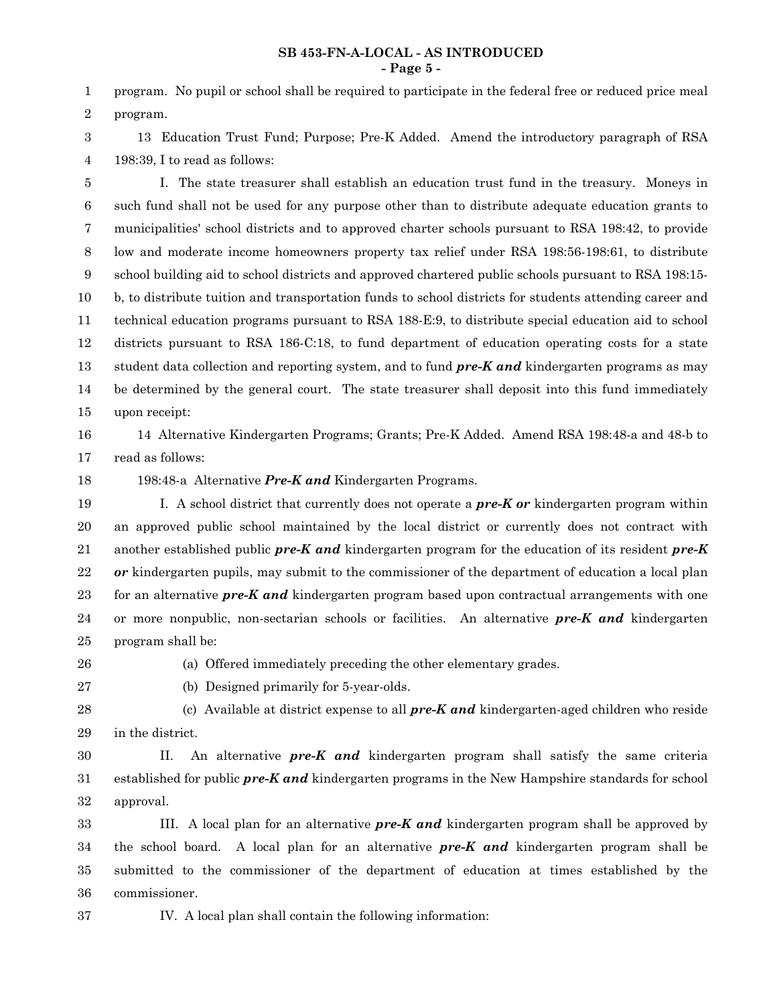#### **SB 453-FN-A-LOCAL - AS INTRODUCED - Page 5 -**

program. No pupil or school shall be required to participate in the federal free or reduced price meal program. 1 2

13 Education Trust Fund; Purpose; Pre-K Added. Amend the introductory paragraph of RSA 198:39, I to read as follows: 3 4

I. The state treasurer shall establish an education trust fund in the treasury. Moneys in such fund shall not be used for any purpose other than to distribute adequate education grants to municipalities' school districts and to approved charter schools pursuant to RSA 198:42, to provide low and moderate income homeowners property tax relief under RSA 198:56-198:61, to distribute school building aid to school districts and approved chartered public schools pursuant to RSA 198:15 b, to distribute tuition and transportation funds to school districts for students attending career and technical education programs pursuant to RSA 188-E:9, to distribute special education aid to school districts pursuant to RSA 186-C:18, to fund department of education operating costs for a state student data collection and reporting system, and to fund *pre-K and* kindergarten programs as may be determined by the general court. The state treasurer shall deposit into this fund immediately upon receipt: 5 6 7 8 9 10 11 12 13 14 15

14 Alternative Kindergarten Programs; Grants; Pre-K Added. Amend RSA 198:48-a and 48-b to 16

read as follows: 17

18

198:48-a Alternative *Pre-K and* Kindergarten Programs.

I. A school district that currently does not operate a *pre-K or* kindergarten program within an approved public school maintained by the local district or currently does not contract with another established public *pre-K and* kindergarten program for the education of its resident *pre-K or* kindergarten pupils, may submit to the commissioner of the department of education a local plan for an alternative *pre-K and* kindergarten program based upon contractual arrangements with one or more nonpublic, non-sectarian schools or facilities. An alternative *pre-K and* kindergarten program shall be: 19 20 21 22 23 24 25

26

27

(a) Offered immediately preceding the other elementary grades.

(b) Designed primarily for 5-year-olds.

(c) Available at district expense to all *pre-K and* kindergarten-aged children who reside in the district. 28 29

II. An alternative *pre-K and* kindergarten program shall satisfy the same criteria established for public *pre-K and* kindergarten programs in the New Hampshire standards for school approval. 30 31 32

III. A local plan for an alternative *pre-K and* kindergarten program shall be approved by the school board. A local plan for an alternative *pre-K and* kindergarten program shall be submitted to the commissioner of the department of education at times established by the commissioner. 33 34 35 36

37

IV. A local plan shall contain the following information: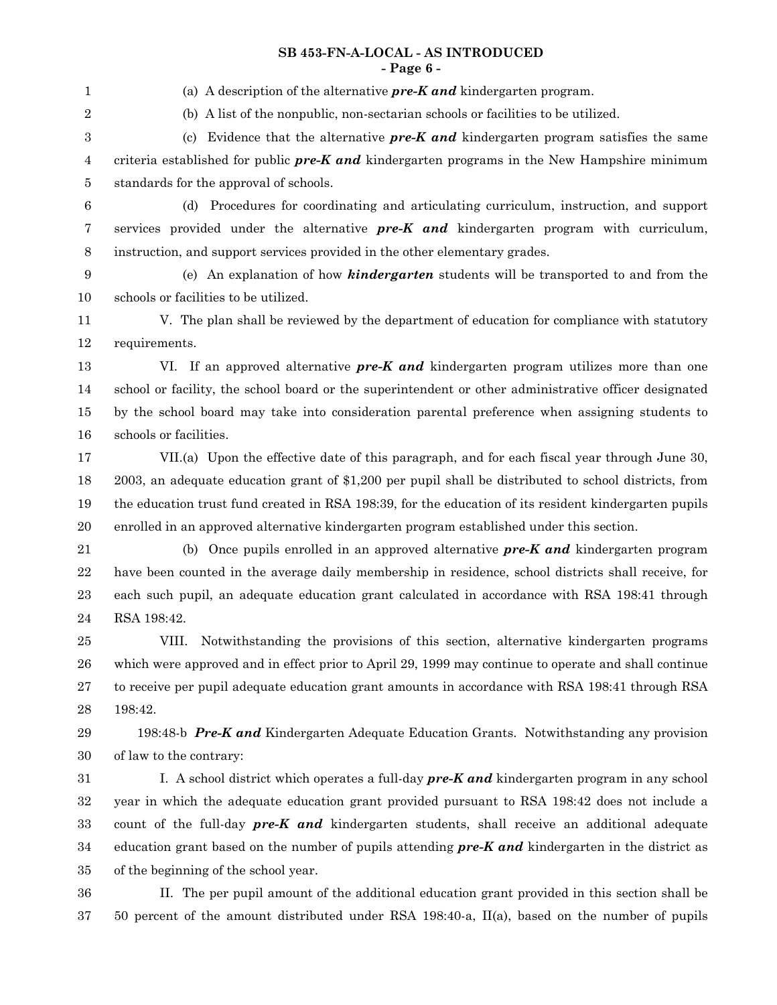(a) A description of the alternative *pre-K and* kindergarten program. (b) A list of the nonpublic, non-sectarian schools or facilities to be utilized. (c) Evidence that the alternative *pre-K and* kindergarten program satisfies the same criteria established for public *pre-K and* kindergarten programs in the New Hampshire minimum standards for the approval of schools. (d) Procedures for coordinating and articulating curriculum, instruction, and support services provided under the alternative *pre-K and* kindergarten program with curriculum, instruction, and support services provided in the other elementary grades. (e) An explanation of how *kindergarten* students will be transported to and from the schools or facilities to be utilized. V. The plan shall be reviewed by the department of education for compliance with statutory requirements. VI. If an approved alternative *pre-K and* kindergarten program utilizes more than one school or facility, the school board or the superintendent or other administrative officer designated by the school board may take into consideration parental preference when assigning students to schools or facilities. VII.(a) Upon the effective date of this paragraph, and for each fiscal year through June 30, 2003, an adequate education grant of \$1,200 per pupil shall be distributed to school districts, from the education trust fund created in RSA 198:39, for the education of its resident kindergarten pupils enrolled in an approved alternative kindergarten program established under this section. (b) Once pupils enrolled in an approved alternative *pre-K and* kindergarten program have been counted in the average daily membership in residence, school districts shall receive, for each such pupil, an adequate education grant calculated in accordance with RSA 198:41 through RSA 198:42. VIII. Notwithstanding the provisions of this section, alternative kindergarten programs which were approved and in effect prior to April 29, 1999 may continue to operate and shall continue to receive per pupil adequate education grant amounts in accordance with RSA 198:41 through RSA 198:42. 198:48-b *Pre-K and* Kindergarten Adequate Education Grants. Notwithstanding any provision of law to the contrary: I. A school district which operates a full-day *pre-K and* kindergarten program in any school year in which the adequate education grant provided pursuant to RSA 198:42 does not include a count of the full-day *pre-K and* kindergarten students, shall receive an additional adequate education grant based on the number of pupils attending *pre-K and* kindergarten in the district as of the beginning of the school year. II. The per pupil amount of the additional education grant provided in this section shall be 50 percent of the amount distributed under RSA 198:40-a, II(a), based on the number of pupils 1 2 3 4 5 6 7 8 9 10 11 12 13 14 15 16 17 18 19 20 21 22 23 24 25 26 27 28 29 30 31 32 33 34 35 36 37

## **SB 453-FN-A-LOCAL - AS INTRODUCED - Page 6 -**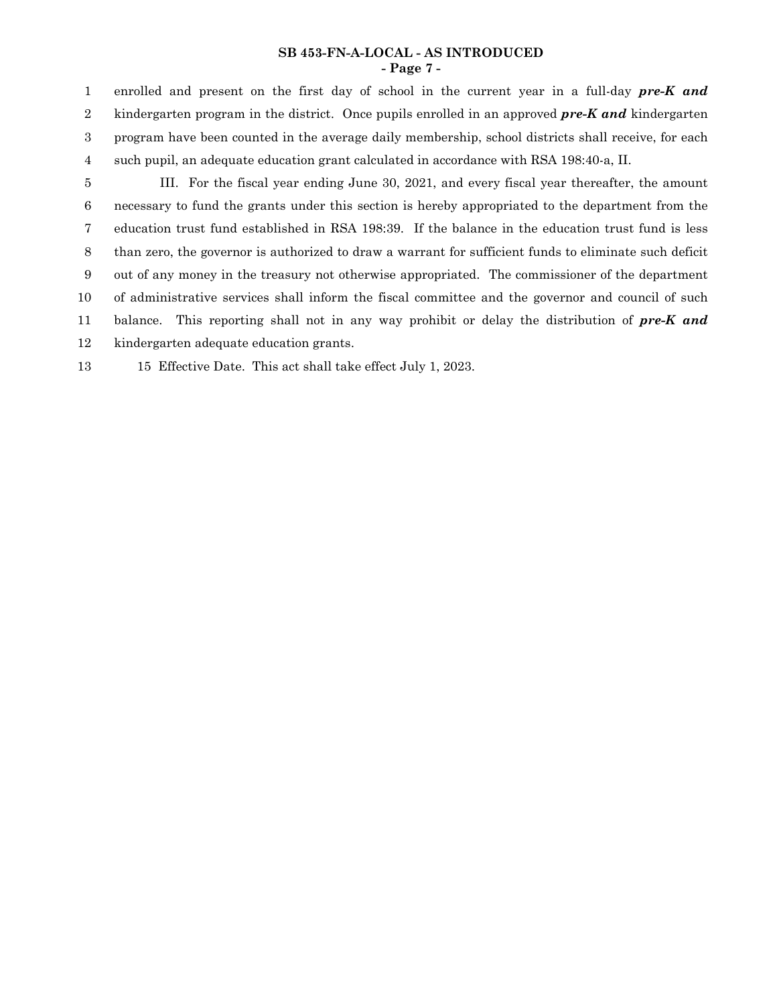#### **SB 453-FN-A-LOCAL - AS INTRODUCED - Page 7 -**

enrolled and present on the first day of school in the current year in a full-day *pre-K and* kindergarten program in the district. Once pupils enrolled in an approved *pre-K and* kindergarten program have been counted in the average daily membership, school districts shall receive, for each such pupil, an adequate education grant calculated in accordance with RSA 198:40-a, II. 1 2 3 4

III. For the fiscal year ending June 30, 2021, and every fiscal year thereafter, the amount necessary to fund the grants under this section is hereby appropriated to the department from the education trust fund established in RSA 198:39. If the balance in the education trust fund is less than zero, the governor is authorized to draw a warrant for sufficient funds to eliminate such deficit out of any money in the treasury not otherwise appropriated. The commissioner of the department of administrative services shall inform the fiscal committee and the governor and council of such balance. This reporting shall not in any way prohibit or delay the distribution of *pre-K and* kindergarten adequate education grants. 5 6 7 8 9 10 11 12

15 Effective Date. This act shall take effect July 1, 2023. 13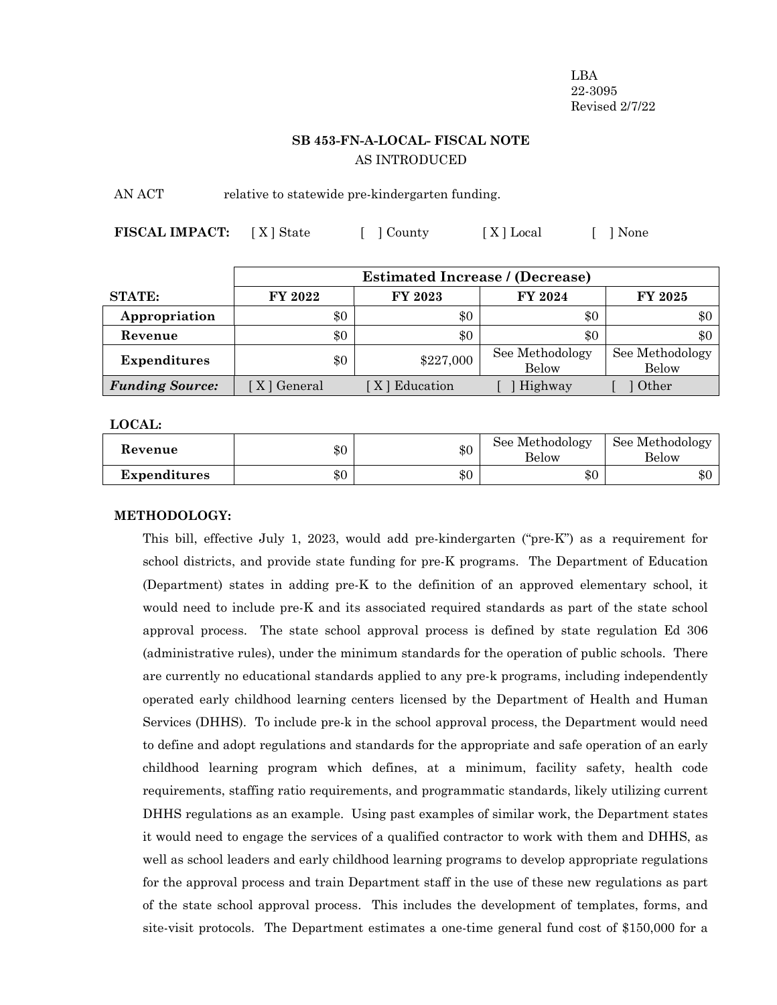LBA 22-3095 Revised 2/7/22

# **SB 453-FN-A-LOCAL- FISCAL NOTE** AS INTRODUCED

AN ACT relative to statewide pre-kindergarten funding.

| <b>FISCAL IMPACT:</b> [X] State |  | [ ] County | [X] Local | [ ] None |
|---------------------------------|--|------------|-----------|----------|
|---------------------------------|--|------------|-----------|----------|

|                        |             | <b>Estimated Increase / (Decrease)</b> |                                 |                                 |
|------------------------|-------------|----------------------------------------|---------------------------------|---------------------------------|
| <b>STATE:</b>          | FY 2022     | FY 2023                                | FY 2024                         | <b>FY 2025</b>                  |
| Appropriation          | \$0         | \$0                                    | \$0                             | $\$0$                           |
| Revenue                | \$0         | \$0                                    | \$0                             | \$0                             |
| <b>Expenditures</b>    | \$0         | \$227,000                              | See Methodology<br><b>Below</b> | See Methodology<br><b>Below</b> |
| <b>Funding Source:</b> | X   General | [X] Education                          | Highway                         | Other                           |

**LOCAL:**

| Revenue             | \$0 | \$0   | See Methodology<br><b>Below</b> | See Methodology<br><b>Below</b> |
|---------------------|-----|-------|---------------------------------|---------------------------------|
| <b>Expenditures</b> | \$0 | $\$0$ | ሱ ሰ<br>৬০                       | ሶሰ<br>- DU                      |

#### **METHODOLOGY:**

This bill, effective July 1, 2023, would add pre-kindergarten ("pre-K") as a requirement for school districts, and provide state funding for pre-K programs. The Department of Education (Department) states in adding pre-K to the definition of an approved elementary school, it would need to include pre-K and its associated required standards as part of the state school approval process. The state school approval process is defined by state regulation Ed 306 (administrative rules), under the minimum standards for the operation of public schools. There are currently no educational standards applied to any pre-k programs, including independently operated early childhood learning centers licensed by the Department of Health and Human Services (DHHS). To include pre-k in the school approval process, the Department would need to define and adopt regulations and standards for the appropriate and safe operation of an early childhood learning program which defines, at a minimum, facility safety, health code requirements, staffing ratio requirements, and programmatic standards, likely utilizing current DHHS regulations as an example. Using past examples of similar work, the Department states it would need to engage the services of a qualified contractor to work with them and DHHS, as well as school leaders and early childhood learning programs to develop appropriate regulations for the approval process and train Department staff in the use of these new regulations as part of the state school approval process. This includes the development of templates, forms, and site-visit protocols. The Department estimates a one-time general fund cost of \$150,000 for a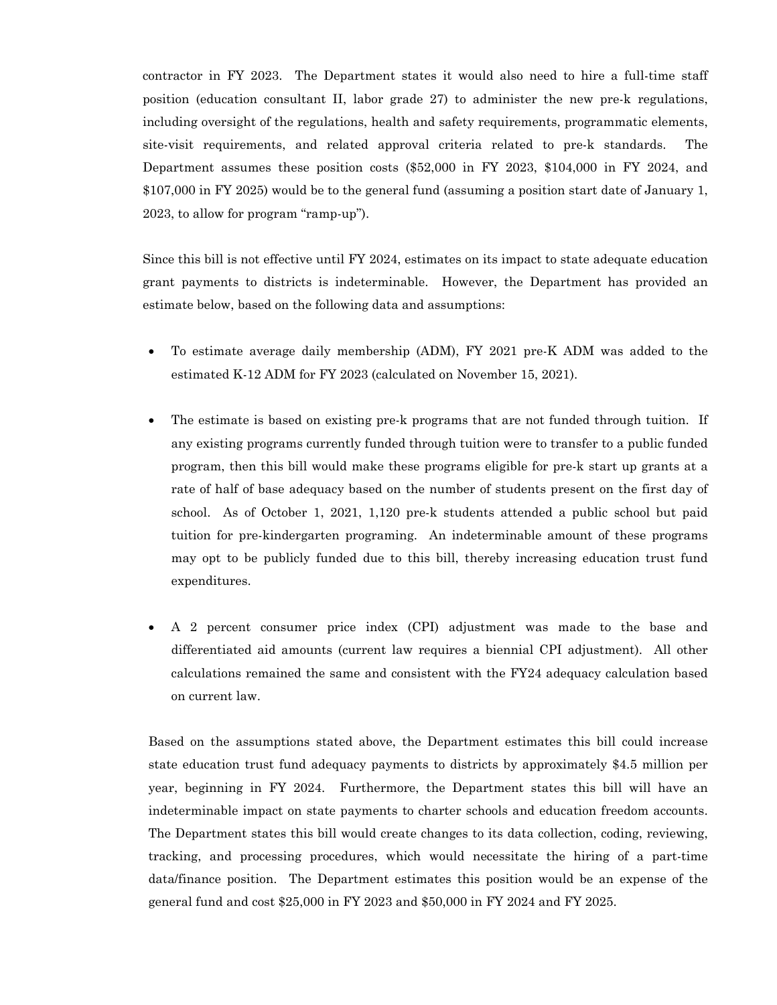contractor in FY 2023. The Department states it would also need to hire a full-time staff position (education consultant II, labor grade 27) to administer the new pre-k regulations, including oversight of the regulations, health and safety requirements, programmatic elements, site-visit requirements, and related approval criteria related to pre-k standards. The Department assumes these position costs (\$52,000 in FY 2023, \$104,000 in FY 2024, and \$107,000 in FY 2025) would be to the general fund (assuming a position start date of January 1, 2023, to allow for program "ramp-up").

Since this bill is not effective until FY 2024, estimates on its impact to state adequate education grant payments to districts is indeterminable. However, the Department has provided an estimate below, based on the following data and assumptions:

- To estimate average daily membership (ADM), FY 2021 pre-K ADM was added to the estimated K-12 ADM for FY 2023 (calculated on November 15, 2021).
- The estimate is based on existing pre-k programs that are not funded through tuition. If any existing programs currently funded through tuition were to transfer to a public funded program, then this bill would make these programs eligible for pre-k start up grants at a rate of half of base adequacy based on the number of students present on the first day of school. As of October 1, 2021, 1,120 pre-k students attended a public school but paid tuition for pre-kindergarten programing. An indeterminable amount of these programs may opt to be publicly funded due to this bill, thereby increasing education trust fund expenditures.
- A 2 percent consumer price index (CPI) adjustment was made to the base and differentiated aid amounts (current law requires a biennial CPI adjustment). All other calculations remained the same and consistent with the FY24 adequacy calculation based on current law.

Based on the assumptions stated above, the Department estimates this bill could increase state education trust fund adequacy payments to districts by approximately \$4.5 million per year, beginning in FY 2024. Furthermore, the Department states this bill will have an indeterminable impact on state payments to charter schools and education freedom accounts. The Department states this bill would create changes to its data collection, coding, reviewing, tracking, and processing procedures, which would necessitate the hiring of a part-time data/finance position. The Department estimates this position would be an expense of the general fund and cost \$25,000 in FY 2023 and \$50,000 in FY 2024 and FY 2025.